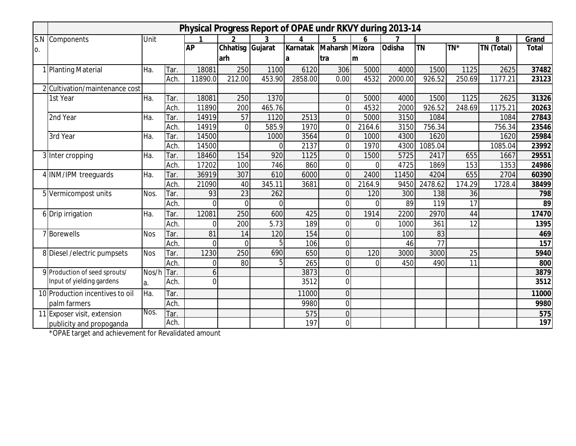|     | Physical Progress Report of OPAE undr RKVY during 2013-14 |            |      |                |                 |          |          |                |                |               |           |                 |            |              |
|-----|-----------------------------------------------------------|------------|------|----------------|-----------------|----------|----------|----------------|----------------|---------------|-----------|-----------------|------------|--------------|
| S.N | Components                                                | Unit       |      |                |                 |          |          | 5              |                |               |           |                 | 8          | Grand        |
| 0.  |                                                           |            |      | <b>AP</b>      | <b>Chhatisg</b> | Gujarat  | Karnatak | Maharsh Mizora |                | <b>Odisha</b> | <b>TN</b> | TN*             | TN (Total) | <b>Total</b> |
|     |                                                           |            |      |                | arh             |          | a        | Itra           | lm             |               |           |                 |            |              |
|     | 1 Planting Material                                       | Ha.        | Tar. | 18081          | 250             | 1100     | 6120     | 306            | 5000           | 4000          | 1500      | 1125            | 2625       | 37482        |
|     |                                                           |            | Ach. | 11890.0        | 212.00          | 453.90   | 2858.00  | 0.00           | 4532           | 2000.00       | 926.52    | 250.69          | 1177.21    | 23123        |
|     | 2 Cultivation/maintenance cost                            |            |      |                |                 |          |          |                |                |               |           |                 |            |              |
|     | 1st Year                                                  | Ha.        | Tar. | 18081          | 250             | 1370     |          | $\mathbf 0$    | 5000           | 4000          | 1500      | 1125            | 2625       | 31326        |
|     |                                                           |            | Ach. | 11890          | 200             | 465.76   |          | $\Omega$       | 4532           | 2000          | 926.52    | 248.69          | 1175.21    | 20263        |
|     | 2nd Year                                                  | Ha.        | Tar. | 14919          | 57              | 1120     | 2513     | $\Omega$       | 5000           | 3150          | 1084      |                 | 1084       | 27843        |
|     |                                                           |            | Ach. | 14919          | $\overline{0}$  | 585.9    | 1970     | $\overline{0}$ | 2164.6         | 3150          | 756.34    |                 | 756.34     | 23546        |
|     | 3rd Year                                                  | Ha.        | Tar. | 14500          |                 | 1000     | 3564     | 0              | 1000           | 4300          | 1620      |                 | 1620       | 25984        |
|     |                                                           |            | Ach. | 14500          |                 | $\Omega$ | 2137     | $\overline{0}$ | 1970           | 4300          | 1085.04   |                 | 1085.04    | 23992        |
|     | 3 Inter cropping                                          | Ha.        | Tar. | 18460          | 154             | 920      | 1125     | $\overline{0}$ | 1500           | 5725          | 2417      | 655             | 1667       | 29551        |
|     |                                                           |            | Ach. | 17202          | 100             | 746      | 860      | $\mathbf 0$    | 0              | 4725          | 1869      | 153             | 1353       | 24986        |
|     | 4 INM/IPM treeguards                                      | Ha.        | Tar. | 36919          | 307             | 610      | 6000     | $\Omega$       | 2400           | 11450         | 4204      | 655             | 2704       | 60390        |
|     |                                                           |            | Ach. | 21090          | 40              | 345.11   | 3681     | $\Omega$       | 2164.9         | 9450          | 2478.62   | 174.29          | 1728.4     | 38499        |
|     | 5 Vermicompost units                                      | Nos.       | Tar. | 93             | 23              | 262      |          | $\Omega$       | 120            | 300           | 138       | 36              |            | 798          |
|     |                                                           |            | Ach. | $\Omega$       | $\Omega$        | $\Omega$ |          | $\overline{0}$ | 0              | 89            | 119       | $\overline{17}$ |            | 89           |
|     | 6 Drip irrigation                                         | Ha.        | Tar. | 12081          | 250             | 600      | 425      | $\overline{0}$ | 1914           | 2200          | 2970      | 44              |            | 17470        |
|     |                                                           |            | Ach. | 0              | 200             | 5.73     | 189      | $\mathbf{0}$   | 0              | 1000          | 361       | 12              |            | 1395         |
|     | 7 Borewells                                               | <b>Nos</b> | Tar. | 81             | 14              | 120      | 154      | 0              |                | 100           | 83        |                 |            | 469          |
|     |                                                           |            | Ach. | $\overline{0}$ | $\overline{0}$  |          | 106      | $\overline{0}$ |                | 46            | 77        |                 |            | 157          |
|     | 8 Diesel / electric pumpsets                              | <b>Nos</b> | Tar. | 1230           | 250             | 690      | 650      | $\mathbf{0}$   | 120            | 3000          | 3000      | 25              |            | 5940         |
|     |                                                           |            | Ach. | $\mathbf 0$    | 80              | 5        | 265      | $\mathbf 0$    | $\overline{0}$ | 450           | 490       | 11              |            | 800          |
|     | 9 Production of seed sprouts/                             | Nos/h Tar. |      | 6              |                 |          | 3873     | $\overline{0}$ |                |               |           |                 |            | 3879         |
|     | Input of yielding gardens                                 | a.         | Ach. | $\overline{0}$ |                 |          | 3512     | $\Omega$       |                |               |           |                 |            | 3512         |
|     | 10 Production incentives to oil                           | Ha.        | Tar. |                |                 |          | 11000    | $\overline{0}$ |                |               |           |                 |            | 11000        |
|     | palm farmers                                              |            | Ach. |                |                 |          | 9980     | $\mathbf 0$    |                |               |           |                 |            | 9980         |
|     | 11 Exposer visit, extension                               | Nos.       | Tar. |                |                 |          | 575      | $\Omega$       |                |               |           |                 |            | 575          |
|     | publicity and propoganda                                  |            | Ach. |                |                 |          | 197      | $\overline{0}$ |                |               |           |                 |            | 197          |

\*OPAE target and achievement for Revalidated amount